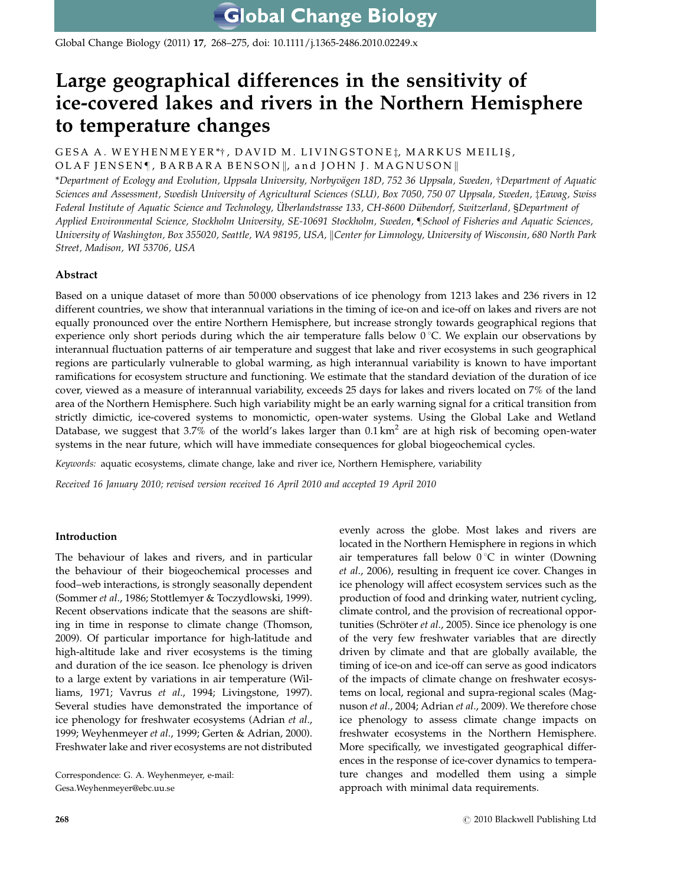Global Change Biology (2011) 17, 268–275, doi: 10.1111/j.1365-2486.2010.02249.x

# Large geographical differences in the sensitivity of ice-covered lakes and rivers in the Northern Hemisphere to temperature changes

GESA A. WEYHENMEYER\*†, DAVID M. LIVINGSTONE‡, MARKUS MEILI§, OLAF JENSEN¶, BARBARA BENSON||, and JOHN J. MAGNUSON||

\*Department of Ecology and Evolution, Uppsala University, Norbyvägen 18D, 752 36 Uppsala, Sweden, †Department of Aquatic Sciences and Assessment, Swedish University of Agricultural Sciences (SLU), Box 7050, 750 07 Uppsala, Sweden, ‡Eawag, Swiss Federal Institute of Aquatic Science and Technology, Überlandstrasse 133, CH-8600 Dübendorf, Switzerland, §Department of Applied Environmental Science, Stockholm University, SE-10691 Stockholm, Sweden, ¶School of Fisheries and Aquatic Sciences, University of Washington, Box 355020, Seattle, WA 98195, USA, Center for Limnology, University of Wisconsin, 680 North Park Street, Madison, WI 53706, USA

# Abstract

Based on a unique dataset of more than 50 000 observations of ice phenology from 1213 lakes and 236 rivers in 12 different countries, we show that interannual variations in the timing of ice-on and ice-off on lakes and rivers are not equally pronounced over the entire Northern Hemisphere, but increase strongly towards geographical regions that experience only short periods during which the air temperature falls below  $0^{\circ}$ C. We explain our observations by interannual fluctuation patterns of air temperature and suggest that lake and river ecosystems in such geographical regions are particularly vulnerable to global warming, as high interannual variability is known to have important ramifications for ecosystem structure and functioning. We estimate that the standard deviation of the duration of ice cover, viewed as a measure of interannual variability, exceeds 25 days for lakes and rivers located on 7% of the land area of the Northern Hemisphere. Such high variability might be an early warning signal for a critical transition from strictly dimictic, ice-covered systems to monomictic, open-water systems. Using the Global Lake and Wetland Database, we suggest that 3.7% of the world's lakes larger than 0.1 km<sup>2</sup> are at high risk of becoming open-water systems in the near future, which will have immediate consequences for global biogeochemical cycles.

Keywords: aquatic ecosystems, climate change, lake and river ice, Northern Hemisphere, variability

Received 16 January 2010; revised version received 16 April 2010 and accepted 19 April 2010

## Introduction

The behaviour of lakes and rivers, and in particular the behaviour of their biogeochemical processes and food–web interactions, is strongly seasonally dependent (Sommer et al., 1986; Stottlemyer & Toczydlowski, 1999). Recent observations indicate that the seasons are shifting in time in response to climate change (Thomson, 2009). Of particular importance for high-latitude and high-altitude lake and river ecosystems is the timing and duration of the ice season. Ice phenology is driven to a large extent by variations in air temperature (Williams, 1971; Vavrus et al., 1994; Livingstone, 1997). Several studies have demonstrated the importance of ice phenology for freshwater ecosystems (Adrian et al., 1999; Weyhenmeyer et al., 1999; Gerten & Adrian, 2000). Freshwater lake and river ecosystems are not distributed

Correspondence: G. A. Weyhenmeyer, e-mail: [Gesa.Weyhenmeyer@ebc.uu.se](mailto:Gesa.Weyhenmeyer@ebc.uu.se)

evenly across the globe. Most lakes and rivers are located in the Northern Hemisphere in regions in which air temperatures fall below  $0^{\circ}C$  in winter (Downing et al., 2006), resulting in frequent ice cover. Changes in ice phenology will affect ecosystem services such as the production of food and drinking water, nutrient cycling, climate control, and the provision of recreational opportunities (Schröter et al., 2005). Since ice phenology is one of the very few freshwater variables that are directly driven by climate and that are globally available, the timing of ice-on and ice-off can serve as good indicators of the impacts of climate change on freshwater ecosystems on local, regional and supra-regional scales (Magnuson et al., 2004; Adrian et al., 2009). We therefore chose ice phenology to assess climate change impacts on freshwater ecosystems in the Northern Hemisphere. More specifically, we investigated geographical differences in the response of ice-cover dynamics to temperature changes and modelled them using a simple approach with minimal data requirements.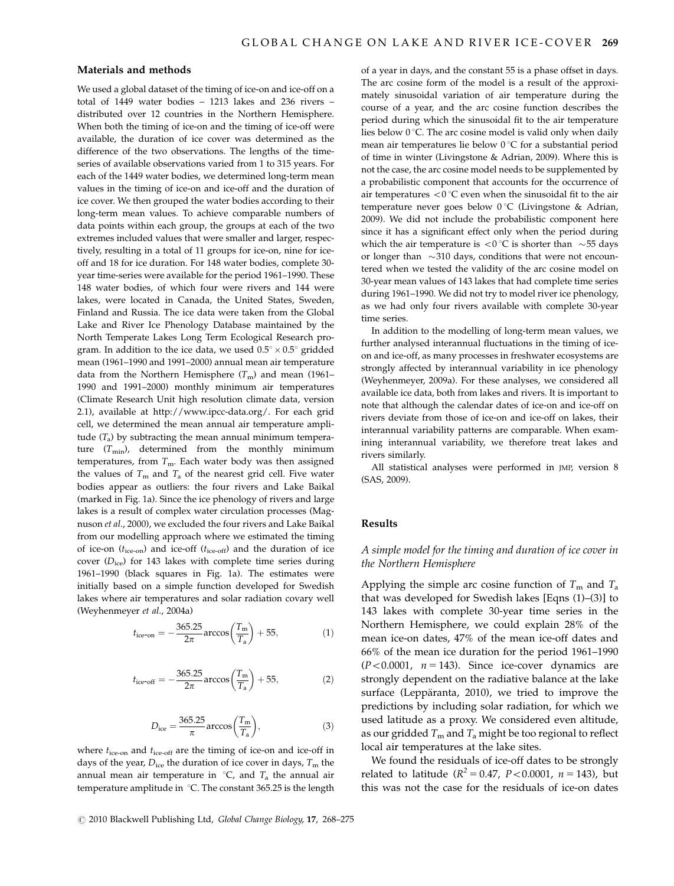# Materials and methods

We used a global dataset of the timing of ice-on and ice-off on a total of 1449 water bodies – 1213 lakes and 236 rivers – distributed over 12 countries in the Northern Hemisphere. When both the timing of ice-on and the timing of ice-off were available, the duration of ice cover was determined as the difference of the two observations. The lengths of the timeseries of available observations varied from 1 to 315 years. For each of the 1449 water bodies, we determined long-term mean values in the timing of ice-on and ice-off and the duration of ice cover. We then grouped the water bodies according to their long-term mean values. To achieve comparable numbers of data points within each group, the groups at each of the two extremes included values that were smaller and larger, respectively, resulting in a total of 11 groups for ice-on, nine for iceoff and 18 for ice duration. For 148 water bodies, complete 30 year time-series were available for the period 1961–1990. These 148 water bodies, of which four were rivers and 144 were lakes, were located in Canada, the United States, Sweden, Finland and Russia. The ice data were taken from the Global Lake and River Ice Phenology Database maintained by the North Temperate Lakes Long Term Ecological Research program. In addition to the ice data, we used  $0.5^{\circ} \times 0.5^{\circ}$  gridded mean (1961–1990 and 1991–2000) annual mean air temperature data from the Northern Hemisphere  $(T_m)$  and mean (1961– 1990 and 1991–2000) monthly minimum air temperatures (Climate Research Unit high resolution climate data, version 2.1), available at [http://www.ipcc-data.org/. For each grid](http://www.ipcc-data.org/) [cell, we determined the mean annual air temperature ampli](http://www.ipcc-data.org/)tude  $(T_a)$  by subtracting the mean annual minimum temperature  $(T_{min})$ , determined from the monthly minimum [temperatures, from](http://www.ipcc-data.org/)  $T_{\rm m}$ [. Each water body was then assigned](http://www.ipcc-data.org/) [the values of](http://www.ipcc-data.org/)  $T_m$  [and](http://www.ipcc-data.org/)  $T_a$  [of the nearest grid cell. Five water](http://www.ipcc-data.org/) [bodies appear as outliers: the four rivers and Lake Baikal](http://www.ipcc-data.org/) [\(marked in Fig. 1a\). Since the ice phenology of rivers and large](http://www.ipcc-data.org/) [lakes is a result of complex water circulation processes \(Mag](http://www.ipcc-data.org/)nuson et al[., 2000\), we excluded the four rivers and Lake Baikal](http://www.ipcc-data.org/) [from our modelling approach where we estimated the timing](http://www.ipcc-data.org/) of ice-on  $(t_{\text{ice-on}})$  and ice-off  $(t_{\text{ice-off}})$  and the duration of ice cover  $(D<sub>ice</sub>)$  for 143 lakes with complete time series during [1961–1990 \(black squares in Fig. 1a\). The estimates were](http://www.ipcc-data.org/) [initially based on a simple function developed for Swedish](http://www.ipcc-data.org/) [lakes where air temperatures and solar radiation covary well](http://www.ipcc-data.org/) [\(Weyhenmeyer](http://www.ipcc-data.org/) et al., 2004a)

$$
t_{\text{ice-on}} = -\frac{365.25}{2\pi} \arccos\left(\frac{T_{\text{m}}}{T_{\text{a}}}\right) + 55,\tag{1}
$$

$$
t_{\text{ice-off}} = -\frac{365.25}{2\pi} \arccos\left(\frac{T_{\text{m}}}{T_{\text{a}}}\right) + 55, \tag{2}
$$

$$
D_{\rm ice} = \frac{365.25}{\pi} \arccos\left(\frac{T_{\rm m}}{T_{\rm a}}\right),\tag{3}
$$

[where](http://www.ipcc-data.org/)  $t_{\text{ice-on}}$  and  $t_{\text{ice-off}}$  $t_{\text{ice-off}}$  $t_{\text{ice-off}}$  [are the timing of ice-on and ice-off in](http://www.ipcc-data.org/) [days of the year,](http://www.ipcc-data.org/)  $D_{\text{ice}}$  [the duration of ice cover in days,](http://www.ipcc-data.org/)  $T_{\text{m}}$  [the](http://www.ipcc-data.org/) [annual mean air temperature in](http://www.ipcc-data.org/)  ${}^{\circ}C$ , and  $T_a$  [the annual air](http://www.ipcc-data.org/) temperature amplitude in  $°C$ . The constant 365.25 is the length [of a year in days, and the constant 55 is a phase offset in days.](http://www.ipcc-data.org/) [The arc cosine form of the model is a result of the approxi](http://www.ipcc-data.org/)[mately sinusoidal variation of air temperature during the](http://www.ipcc-data.org/) [course of a year, and the arc cosine function describes the](http://www.ipcc-data.org/) [period during which the sinusoidal fit to the air temperature](http://www.ipcc-data.org/) lies below  $0^{\circ}$ [C. The arc cosine model is valid only when daily](http://www.ipcc-data.org/) mean air temperatures lie below  $0^{\circ}C$  for a substantial period [of time in winter \(Livingstone & Adrian, 2009\). Where this is](http://www.ipcc-data.org/) [not the case, the arc cosine model needs to be supplemented by](http://www.ipcc-data.org/) [a probabilistic component that accounts for the occurrence of](http://www.ipcc-data.org/) air temperatures  $<$  0 °[C even when the sinusoidal fit to the air](http://www.ipcc-data.org/) temperature never goes below  $0^{\circ}C$  (Livingstone & Adrian, [2009\). We did not include the probabilistic component here](http://www.ipcc-data.org/) [since it has a significant effect only when the period during](http://www.ipcc-data.org/) [which the air temperature is](http://www.ipcc-data.org/)  $< 0^{\circ}$ C is shorter than  $\sim$ [55 days](http://www.ipcc-data.org/) [or longer than](http://www.ipcc-data.org/)  $\sim$ [310 days, conditions that were not encoun](http://www.ipcc-data.org/)[tered when we tested the validity of the arc cosine model on](http://www.ipcc-data.org/) [30-year mean values of 143 lakes that had complete time series](http://www.ipcc-data.org/) [during 1961–1990. We did not try to model river ice phenology,](http://www.ipcc-data.org/) [as we had only four rivers available with complete 30-year](http://www.ipcc-data.org/) [time series.](http://www.ipcc-data.org/)

In addition to the modelling of long-term mean values, we further analysed interannual fluctuations in the timing of iceon and ice-off, as many processes in freshwater ecosystems are strongly affected by interannual variability in ice phenology (Weyhenmeyer, 2009a). For these analyses, we considered all available ice data, both from lakes and rivers. It is important to note that although the calendar dates of ice-on and ice-off on rivers deviate from those of ice-on and ice-off on lakes, their interannual variability patterns are comparable. When examining interannual variability, we therefore treat lakes and rivers similarly.

All statistical analyses were performed in JMP, version 8 (SAS, 2009).

### Results

# A simple model for the timing and duration of ice cover in the Northern Hemisphere

Applying the simple arc cosine function of  $T<sub>m</sub>$  and  $T<sub>a</sub>$ that was developed for Swedish lakes [Eqns (1)–(3)] to 143 lakes with complete 30-year time series in the Northern Hemisphere, we could explain 28% of the mean ice-on dates, 47% of the mean ice-off dates and 66% of the mean ice duration for the period 1961–1990  $(P<0.0001, n = 143)$ . Since ice-cover dynamics are strongly dependent on the radiative balance at the lake surface (Leppäranta, 2010), we tried to improve the predictions by including solar radiation, for which we used latitude as a proxy. We considered even altitude, as our gridded  $T_m$  and  $T_a$  might be too regional to reflect local air temperatures at the lake sites.

We found the residuals of ice-off dates to be strongly related to latitude ( $R^2 = 0.47$ ,  $P < 0.0001$ ,  $n = 143$ ), but this was not the case for the residuals of ice-on dates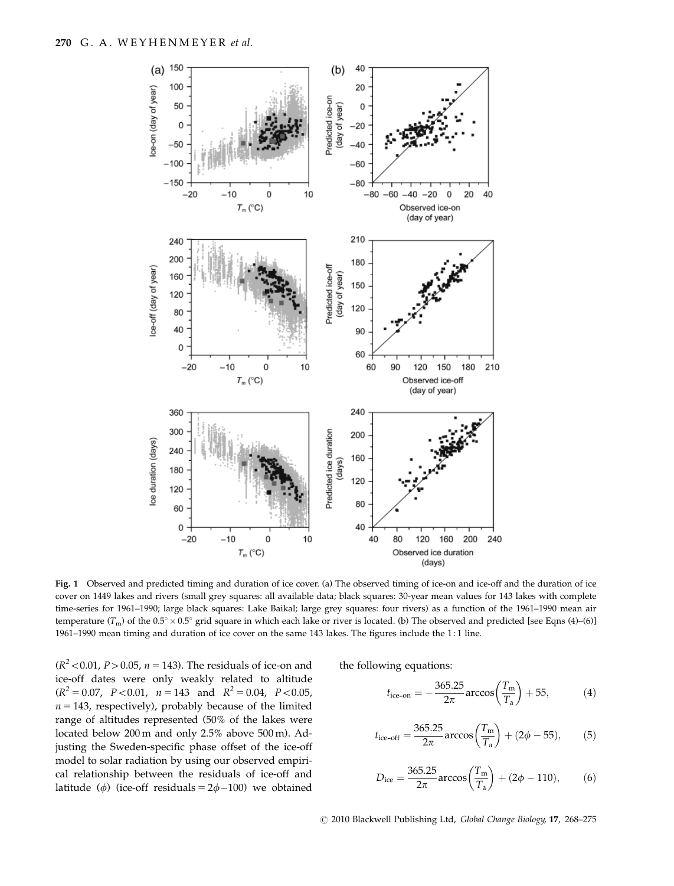

Fig. 1 Observed and predicted timing and duration of ice cover. (a) The observed timing of ice-on and ice-off and the duration of ice cover on 1449 lakes and rivers (small grey squares: all available data; black squares: 30-year mean values for 143 lakes with complete time-series for 1961–1990; large black squares: Lake Baikal; large grey squares: four rivers) as a function of the 1961–1990 mean air temperature ( $T_m$ ) of the 0.5°  $\times$  0.5° grid square in which each lake or river is located. (b) The observed and predicted [see Eqns (4)–(6)] 1961–1990 mean timing and duration of ice cover on the same 143 lakes. The figures include the 1 : 1 line.

 $(R^2 < 0.01, P > 0.05, n = 143)$ . The residuals of ice-on and ice-off dates were only weakly related to altitude  $(R^{2} = 0.07, P < 0.01, n = 143 \text{ and } R^{2} = 0.04, P < 0.05,$  $n = 143$ , respectively), probably because of the limited range of altitudes represented (50% of the lakes were located below 200 m and only 2.5% above 500 m). Adjusting the Sweden-specific phase offset of the ice-off model to solar radiation by using our observed empirical relationship between the residuals of ice-off and latitude ( $\phi$ ) (ice-off residuals = 2 $\phi$ -100) we obtained the following equations:

$$
t_{\text{ice-on}} = -\frac{365.25}{2\pi} \arccos\left(\frac{T_{\text{m}}}{T_{\text{a}}}\right) + 55, \tag{4}
$$

$$
t_{\text{ice-off}} = \frac{365.25}{2\pi} \arccos\left(\frac{T_{\text{m}}}{T_{\text{a}}}\right) + (2\phi - 55),\tag{5}
$$

$$
D_{\text{ice}} = \frac{365.25}{2\pi} \arccos\left(\frac{T_{\text{m}}}{T_{\text{a}}}\right) + (2\phi - 110),\tag{6}
$$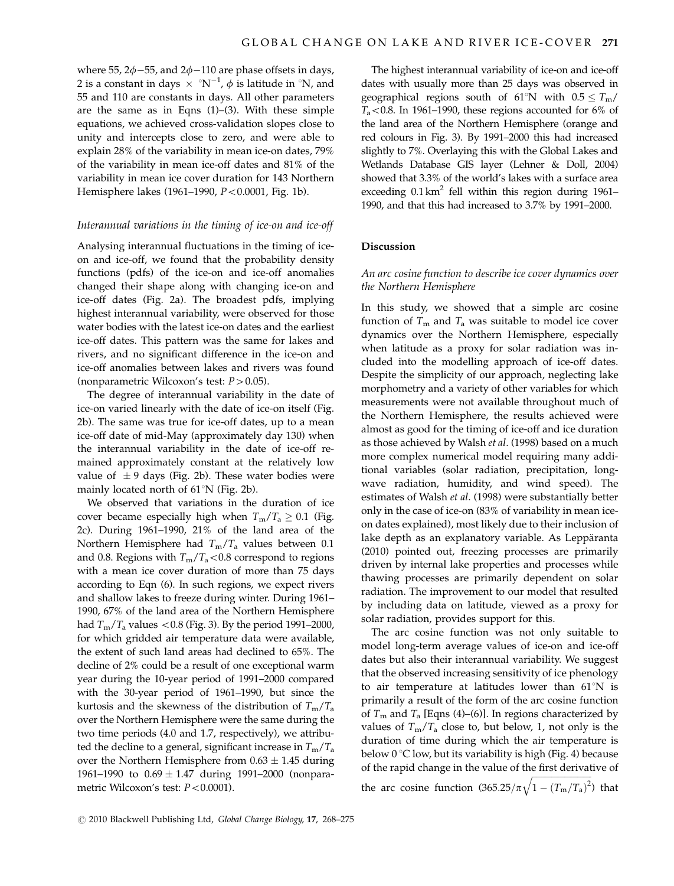where 55,  $2\phi - 55$ , and  $2\phi - 110$  are phase offsets in days, 2 is a constant in days  $\,\times\,$  °N<sup>-1</sup>,  $\phi$  is latitude in °N, and 55 and 110 are constants in days. All other parameters are the same as in Eqns (1)–(3). With these simple equations, we achieved cross-validation slopes close to unity and intercepts close to zero, and were able to explain 28% of the variability in mean ice-on dates, 79% of the variability in mean ice-off dates and 81% of the variability in mean ice cover duration for 143 Northern Hemisphere lakes (1961–1990,  $P < 0.0001$ , Fig. 1b).

#### Interannual variations in the timing of ice-on and ice-off

Analysing interannual fluctuations in the timing of iceon and ice-off, we found that the probability density functions (pdfs) of the ice-on and ice-off anomalies changed their shape along with changing ice-on and ice-off dates (Fig. 2a). The broadest pdfs, implying highest interannual variability, were observed for those water bodies with the latest ice-on dates and the earliest ice-off dates. This pattern was the same for lakes and rivers, and no significant difference in the ice-on and ice-off anomalies between lakes and rivers was found (nonparametric Wilcoxon's test:  $P > 0.05$ ).

The degree of interannual variability in the date of ice-on varied linearly with the date of ice-on itself (Fig. 2b). The same was true for ice-off dates, up to a mean ice-off date of mid-May (approximately day 130) when the interannual variability in the date of ice-off remained approximately constant at the relatively low value of  $\pm$  9 days (Fig. 2b). These water bodies were mainly located north of  $61^{\circ}$ N (Fig. 2b).

We observed that variations in the duration of ice cover became especially high when  $T_m/T_a \geq 0.1$  (Fig. 2c). During 1961–1990, 21% of the land area of the Northern Hemisphere had  $T_m/T_a$  values between 0.1 and 0.8. Regions with  $T_m/T_a < 0.8$  correspond to regions with a mean ice cover duration of more than 75 days according to Eqn (6). In such regions, we expect rivers and shallow lakes to freeze during winter. During 1961– 1990, 67% of the land area of the Northern Hemisphere had  $T_{\rm m}/T_{\rm a}$  values < 0.8 (Fig. 3). By the period 1991–2000, for which gridded air temperature data were available, the extent of such land areas had declined to 65%. The decline of 2% could be a result of one exceptional warm year during the 10-year period of 1991–2000 compared with the 30-year period of 1961–1990, but since the kurtosis and the skewness of the distribution of  $T_m/T_a$ over the Northern Hemisphere were the same during the two time periods (4.0 and 1.7, respectively), we attributed the decline to a general, significant increase in  $T_m/T_a$ over the Northern Hemisphere from  $0.63 \pm 1.45$  during 1961–1990 to  $0.69 \pm 1.47$  during 1991–2000 (nonparametric Wilcoxon's test:  $P < 0.0001$ ).

The highest interannual variability of ice-on and ice-off dates with usually more than 25 days was observed in geographical regions south of 61°N with  $0.5 \le T_m/$  $T_a$ <0.8. In 1961–1990, these regions accounted for 6% of the land area of the Northern Hemisphere (orange and red colours in Fig. 3). By 1991–2000 this had increased slightly to 7%. Overlaying this with the Global Lakes and Wetlands Database GIS layer (Lehner & Doll, 2004) showed that 3.3% of the world's lakes with a surface area exceeding  $0.1 \text{ km}^2$  fell within this region during 1961– 1990, and that this had increased to 3.7% by 1991–2000.

#### Discussion

## An arc cosine function to describe ice cover dynamics over the Northern Hemisphere

In this study, we showed that a simple arc cosine function of  $T_m$  and  $T_a$  was suitable to model ice cover dynamics over the Northern Hemisphere, especially when latitude as a proxy for solar radiation was included into the modelling approach of ice-off dates. Despite the simplicity of our approach, neglecting lake morphometry and a variety of other variables for which measurements were not available throughout much of the Northern Hemisphere, the results achieved were almost as good for the timing of ice-off and ice duration as those achieved by Walsh et al. (1998) based on a much more complex numerical model requiring many additional variables (solar radiation, precipitation, longwave radiation, humidity, and wind speed). The estimates of Walsh et al. (1998) were substantially better only in the case of ice-on (83% of variability in mean iceon dates explained), most likely due to their inclusion of lake depth as an explanatory variable. As Leppäranta (2010) pointed out, freezing processes are primarily driven by internal lake properties and processes while thawing processes are primarily dependent on solar radiation. The improvement to our model that resulted by including data on latitude, viewed as a proxy for solar radiation, provides support for this.

The arc cosine function was not only suitable to model long-term average values of ice-on and ice-off dates but also their interannual variability. We suggest that the observed increasing sensitivity of ice phenology to air temperature at latitudes lower than  $61^{\circ}$ N is primarily a result of the form of the arc cosine function of  $T_m$  and  $T_a$  [Eqns (4)–(6)]. In regions characterized by values of  $T_m/T_a$  close to, but below, 1, not only is the duration of time during which the air temperature is below  $0^{\circ}$ C low, but its variability is high (Fig. 4) because of the rapid change in the value of the first derivative of ffiffiffiffiffiffiffiffiffiffiffiffiffiffiffiffiffiffiffiffiffiffiffiffiffiffiffiffi

the arc cosine function  $(365.25/\pi)$  $\sqrt{1-(T_{\rm m}/T_{\rm a})^2}$ ) that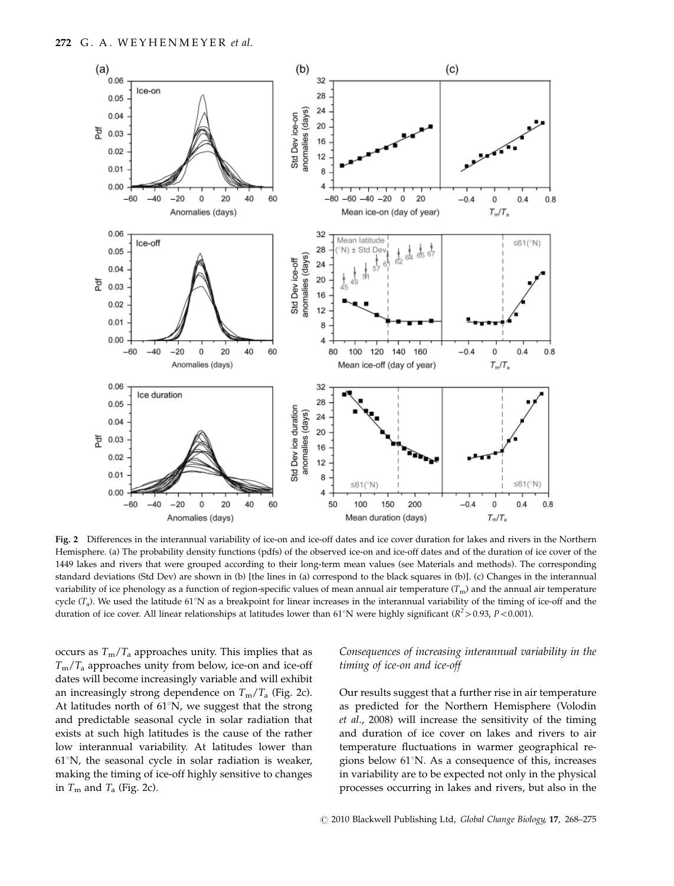

Fig. 2 Differences in the interannual variability of ice-on and ice-off dates and ice cover duration for lakes and rivers in the Northern Hemisphere. (a) The probability density functions (pdfs) of the observed ice-on and ice-off dates and of the duration of ice cover of the 1449 lakes and rivers that were grouped according to their long-term mean values (see Materials and methods). The corresponding standard deviations (Std Dev) are shown in (b) [the lines in (a) correspond to the black squares in (b)]. (c) Changes in the interannual variability of ice phenology as a function of region-specific values of mean annual air temperature  $(T_m)$  and the annual air temperature cycle  $(T_a)$ . We used the latitude 61°N as a breakpoint for linear increases in the interannual variability of the timing of ice-off and the duration of ice cover. All linear relationships at latitudes lower than 61°N were highly significant ( $R^2$ >0.93, P<0.001).

occurs as  $T_m/T_a$  approaches unity. This implies that as  $T_{\rm m}/T_{\rm a}$  approaches unity from below, ice-on and ice-off dates will become increasingly variable and will exhibit an increasingly strong dependence on  $T_m/T_a$  (Fig. 2c). At latitudes north of  $61^{\circ}$ N, we suggest that the strong and predictable seasonal cycle in solar radiation that exists at such high latitudes is the cause of the rather low interannual variability. At latitudes lower than  $61^{\circ}$ N, the seasonal cycle in solar radiation is weaker, making the timing of ice-off highly sensitive to changes in  $T_m$  and  $T_a$  (Fig. 2c).

## Consequences of increasing interannual variability in the timing of ice-on and ice-off

Our results suggest that a further rise in air temperature as predicted for the Northern Hemisphere (Volodin et al., 2008) will increase the sensitivity of the timing and duration of ice cover on lakes and rivers to air temperature fluctuations in warmer geographical regions below  $61^{\circ}$ N. As a consequence of this, increases in variability are to be expected not only in the physical processes occurring in lakes and rivers, but also in the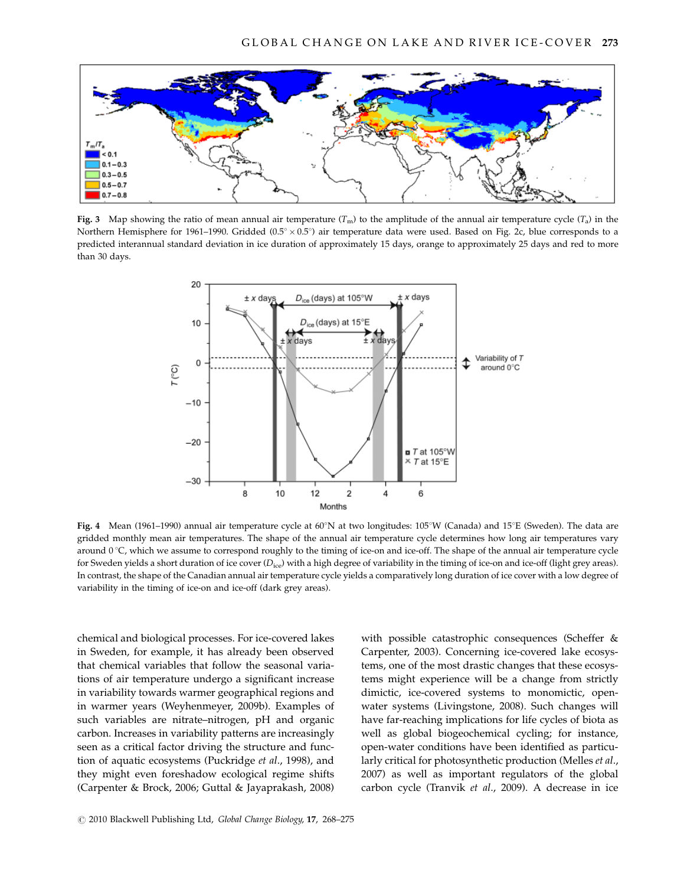

Fig. 3 Map showing the ratio of mean annual air temperature  $(T_m)$  to the amplitude of the annual air temperature cycle  $(T_a)$  in the Northern Hemisphere for 1961–1990. Gridded (0.5°  $\times$  0.5°) air temperature data were used. Based on Fig. 2c, blue corresponds to a predicted interannual standard deviation in ice duration of approximately 15 days, orange to approximately 25 days and red to more than 30 days.



Fig. 4 Mean (1961–1990) annual air temperature cycle at 60°N at two longitudes: 105°W (Canada) and 15°E (Sweden). The data are gridded monthly mean air temperatures. The shape of the annual air temperature cycle determines how long air temperatures vary around  $0^{\circ}$ C, which we assume to correspond roughly to the timing of ice-on and ice-off. The shape of the annual air temperature cycle for Sweden yields a short duration of ice cover  $(D_{\text{ice}})$  with a high degree of variability in the timing of ice-on and ice-off (light grey areas). In contrast, the shape of the Canadian annual air temperature cycle yields a comparatively long duration of ice cover with a low degree of variability in the timing of ice-on and ice-off (dark grey areas).

chemical and biological processes. For ice-covered lakes in Sweden, for example, it has already been observed that chemical variables that follow the seasonal variations of air temperature undergo a significant increase in variability towards warmer geographical regions and in warmer years (Weyhenmeyer, 2009b). Examples of such variables are nitrate–nitrogen, pH and organic carbon. Increases in variability patterns are increasingly seen as a critical factor driving the structure and function of aquatic ecosystems (Puckridge et al., 1998), and they might even foreshadow ecological regime shifts (Carpenter & Brock, 2006; Guttal & Jayaprakash, 2008)

with possible catastrophic consequences (Scheffer & Carpenter, 2003). Concerning ice-covered lake ecosystems, one of the most drastic changes that these ecosystems might experience will be a change from strictly dimictic, ice-covered systems to monomictic, openwater systems (Livingstone, 2008). Such changes will have far-reaching implications for life cycles of biota as well as global biogeochemical cycling; for instance, open-water conditions have been identified as particularly critical for photosynthetic production (Melles et al., 2007) as well as important regulators of the global carbon cycle (Tranvik et al., 2009). A decrease in ice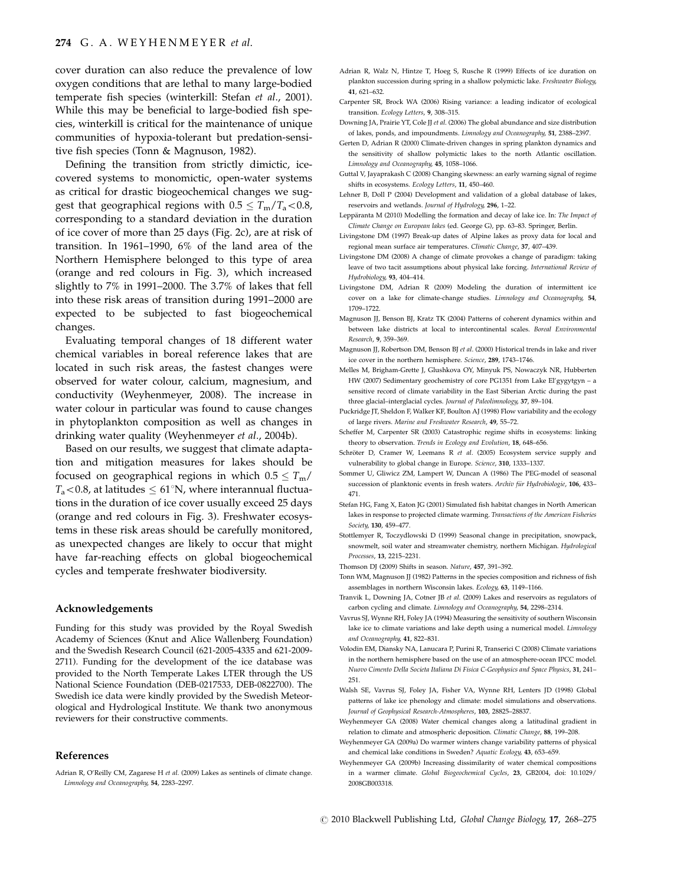cover duration can also reduce the prevalence of low oxygen conditions that are lethal to many large-bodied temperate fish species (winterkill: Stefan et al., 2001). While this may be beneficial to large-bodied fish species, winterkill is critical for the maintenance of unique communities of hypoxia-tolerant but predation-sensitive fish species (Tonn & Magnuson, 1982).

Defining the transition from strictly dimictic, icecovered systems to monomictic, open-water systems as critical for drastic biogeochemical changes we suggest that geographical regions with  $0.5 \leq T_{\rm m}/T_{\rm a} < 0.8$ , corresponding to a standard deviation in the duration of ice cover of more than 25 days (Fig. 2c), are at risk of transition. In 1961–1990, 6% of the land area of the Northern Hemisphere belonged to this type of area (orange and red colours in Fig. 3), which increased slightly to 7% in 1991–2000. The 3.7% of lakes that fell into these risk areas of transition during 1991–2000 are expected to be subjected to fast biogeochemical changes.

Evaluating temporal changes of 18 different water chemical variables in boreal reference lakes that are located in such risk areas, the fastest changes were observed for water colour, calcium, magnesium, and conductivity (Weyhenmeyer, 2008). The increase in water colour in particular was found to cause changes in phytoplankton composition as well as changes in drinking water quality (Weyhenmeyer et al., 2004b).

Based on our results, we suggest that climate adaptation and mitigation measures for lakes should be focused on geographical regions in which  $0.5 \leq T_{\rm m}/$  $T_a$ <0.8, at latitudes  $\leq 61^{\circ}$ N, where interannual fluctuations in the duration of ice cover usually exceed 25 days (orange and red colours in Fig. 3). Freshwater ecosystems in these risk areas should be carefully monitored, as unexpected changes are likely to occur that might have far-reaching effects on global biogeochemical cycles and temperate freshwater biodiversity.

#### Acknowledgements

Funding for this study was provided by the Royal Swedish Academy of Sciences (Knut and Alice Wallenberg Foundation) and the Swedish Research Council (621-2005-4335 and 621-2009- 2711). Funding for the development of the ice database was provided to the North Temperate Lakes LTER through the US National Science Foundation (DEB-0217533, DEB-0822700). The Swedish ice data were kindly provided by the Swedish Meteorological and Hydrological Institute. We thank two anonymous reviewers for their constructive comments.

#### References

Adrian R, O'Reilly CM, Zagarese H et al. (2009) Lakes as sentinels of climate change. Limnology and Oceanography, 54, 2283–2297.

- Adrian R, Walz N, Hintze T, Hoeg S, Rusche R (1999) Effects of ice duration on plankton succession during spring in a shallow polymictic lake. Freshwater Biology, 41, 621–632.
- Carpenter SR, Brock WA (2006) Rising variance: a leading indicator of ecological transition. Ecology Letters, 9, 308–315.
- Downing JA, Prairie YT, Cole JJ et al. (2006) The global abundance and size distribution of lakes, ponds, and impoundments. Limnology and Oceanography, 51, 2388–2397.
- Gerten D, Adrian R (2000) Climate-driven changes in spring plankton dynamics and the sensitivity of shallow polymictic lakes to the north Atlantic oscillation. Limnology and Oceanography, 45, 1058–1066.
- Guttal V, Jayaprakash C (2008) Changing skewness: an early warning signal of regime shifts in ecosystems. Ecology Letters, 11, 450–460.
- Lehner B, Doll P (2004) Development and validation of a global database of lakes, reservoirs and wetlands. Journal of Hydrology, 296, 1–22.
- Leppäranta M (2010) Modelling the formation and decay of lake ice. In: The Impact of Climate Change on European lakes (ed. George G), pp. 63–83. Springer, Berlin.
- Livingstone DM (1997) Break-up dates of Alpine lakes as proxy data for local and regional mean surface air temperatures. Climatic Change, 37, 407–439.
- Livingstone DM (2008) A change of climate provokes a change of paradigm: taking leave of two tacit assumptions about physical lake forcing. International Review of Hydrobiology, 93, 404–414.
- Livingstone DM, Adrian R (2009) Modeling the duration of intermittent ice cover on a lake for climate-change studies. Limnology and Oceanography, 54, 1709–1722.
- Magnuson JJ, Benson BJ, Kratz TK (2004) Patterns of coherent dynamics within and between lake districts at local to intercontinental scales. Boreal Environmental Research, 9, 359–369.
- Magnuson JJ, Robertson DM, Benson BJ et al. (2000) Historical trends in lake and river ice cover in the northern hemisphere. Science, 289, 1743-1746.
- Melles M, Brigham-Grette J, Glushkova OY, Minyuk PS, Nowaczyk NR, Hubberten HW (2007) Sedimentary geochemistry of core PG1351 from Lake El'gygytgyn – a sensitive record of climate variability in the East Siberian Arctic during the past three glacial-interglacial cycles. Journal of Paleolimnology, 37, 89-104.
- Puckridge JT, Sheldon F, Walker KF, Boulton AJ (1998) Flow variability and the ecology of large rivers. Marine and Freshwater Research, 49, 55–72.
- Scheffer M, Carpenter SR (2003) Catastrophic regime shifts in ecosystems: linking theory to observation. Trends in Ecology and Evolution, 18, 648-656.
- Schröter D, Cramer W, Leemans R et al. (2005) Ecosystem service supply and vulnerability to global change in Europe. Science, 310, 1333–1337.
- Sommer U, Gliwicz ZM, Lampert W, Duncan A (1986) The PEG-model of seasonal succession of planktonic events in fresh waters. Archiv für Hydrobiologie, 106, 433-471.
- Stefan HG, Fang X, Eaton JG (2001) Simulated fish habitat changes in North American lakes in response to projected climate warming. Transactions of the American Fisheries Society, 130, 459–477.
- Stottlemyer R, Toczydlowski D (1999) Seasonal change in precipitation, snowpack, snowmelt, soil water and streamwater chemistry, northern Michigan. Hydrological Processes, 13, 2215–2231.

Thomson DJ (2009) Shifts in season. Nature, 457, 391–392.

- Tonn WM, Magnuson II (1982) Patterns in the species composition and richness of fish assemblages in northern Wisconsin lakes. Ecology, 63, 1149–1166.
- Tranvik L, Downing JA, Cotner JB et al. (2009) Lakes and reservoirs as regulators of carbon cycling and climate. Limnology and Oceanography, 54, 2298–2314.
- Vavrus SJ, Wynne RH, Foley JA (1994) Measuring the sensitivity of southern Wisconsin lake ice to climate variations and lake depth using a numerical model. Limnology and Oceanography, 41, 822–831.
- Volodin EM, Diansky NA, Lanucara P, Purini R, Transerici C (2008) Climate variations in the northern hemisphere based on the use of an atmosphere-ocean IPCC model. Nuovo Cimento Della Societa Italiana Di Fisica C-Geophysics and Space Physics, 31, 241– 251.
- Walsh SE, Vavrus SJ, Foley JA, Fisher VA, Wynne RH, Lenters JD (1998) Global patterns of lake ice phenology and climate: model simulations and observations. Journal of Geophysical Research-Atmospheres, 103, 28825–28837.
- Weyhenmeyer GA (2008) Water chemical changes along a latitudinal gradient in relation to climate and atmospheric deposition. Climatic Change, 88, 199–208.
- Weyhenmeyer GA (2009a) Do warmer winters change variability patterns of physical and chemical lake conditions in Sweden? Aquatic Ecology, 43, 653–659.
- Weyhenmeyer GA (2009b) Increasing dissimilarity of water chemical compositions in a warmer climate. Global Biogeochemical Cycles, 23, GB2004, doi: [10.1029/](10.1029/2008GB003318, 2009) [2008GB003318.](10.1029/2008GB003318, 2009)